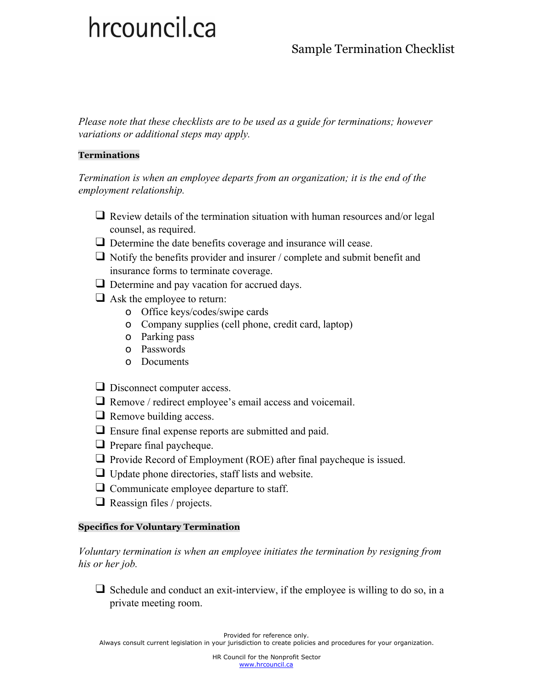# hrcouncil.ca

## Sample Termination Checklist

*Please note that these checklists are to be used as a guide for terminations; however variations or additional steps may apply.*

### **Terminations**

*Termination is when an employee departs from an organization; it is the end of the employment relationship.*

- $\Box$  Review details of the termination situation with human resources and/or legal counsel, as required.
- □ Determine the date benefits coverage and insurance will cease.
- $\Box$  Notify the benefits provider and insurer / complete and submit benefit and insurance forms to terminate coverage.
- □ Determine and pay vacation for accrued days.
- $\Box$  Ask the employee to return:
	- o Office keys/codes/swipe cards
	- o Company supplies (cell phone, credit card, laptop)
	- o Parking pass
	- o Passwords
	- o Documents

□ Disconnect computer access.

- ❑ Remove / redirect employee's email access and voicemail.
- ❑ Remove building access.
- □ Ensure final expense reports are submitted and paid.
- ❑ Prepare final paycheque.
- ❑ Provide Record of Employment (ROE) after final paycheque is issued.
- ❑ Update phone directories, staff lists and website.
- ❑ Communicate employee departure to staff.
- $\Box$  Reassign files / projects.

### **Specifics for Voluntary Termination**

*Voluntary termination is when an employee initiates the termination by resigning from his or her job.*

 $\Box$  Schedule and conduct an exit-interview, if the employee is willing to do so, in a private meeting room.